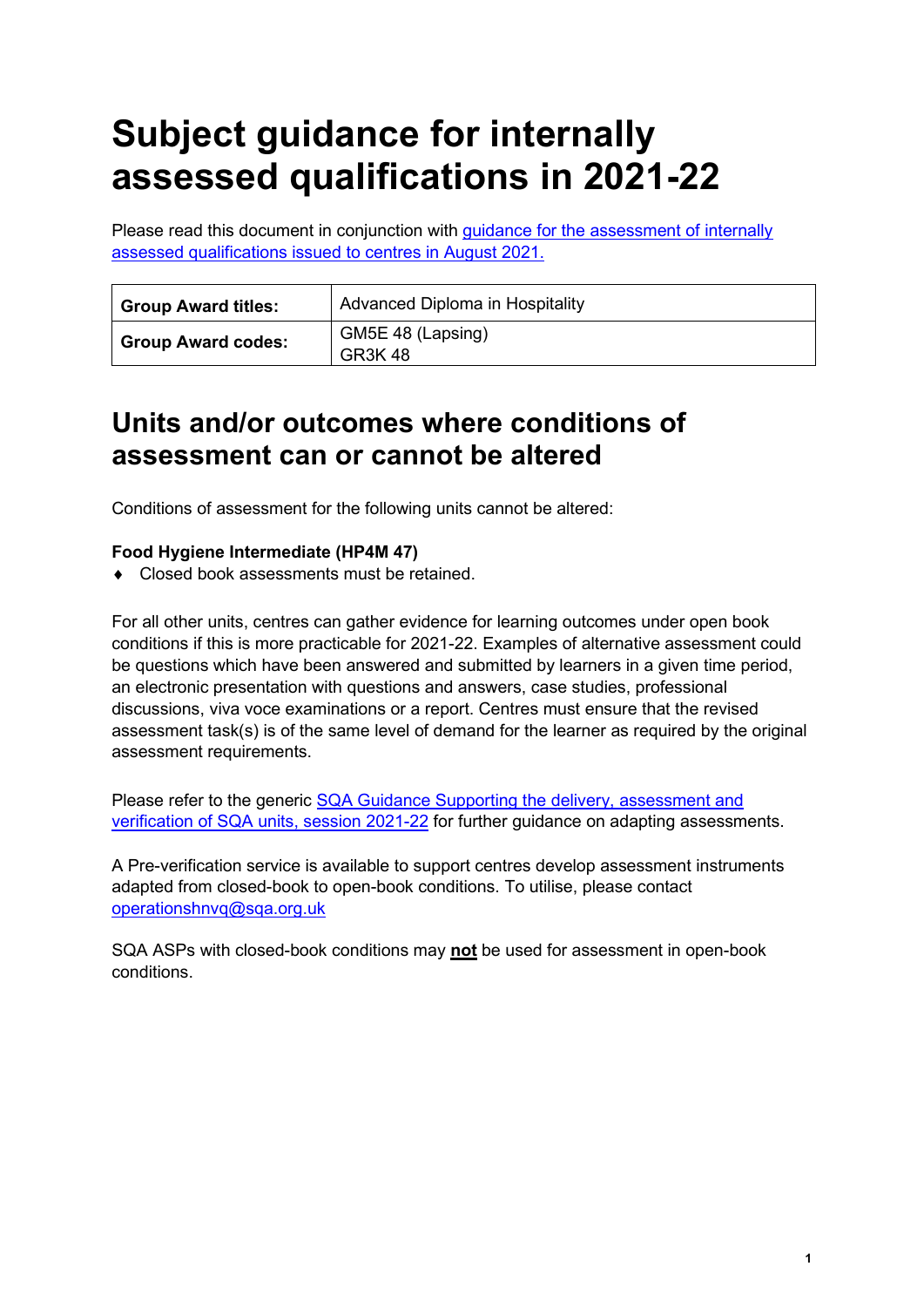# **Subject guidance for internally assessed qualifications in 2021-22**

Please read this document in conjunction with [guidance for the assessment of internally](https://www.sqa.org.uk/sqa/95044.html) [assessed qualifications issued to centres in August 2021.](https://www.sqa.org.uk/sqa/95044.html)

| <b>Group Award titles:</b> | Advanced Diploma in Hospitality    |
|----------------------------|------------------------------------|
| <b>Group Award codes:</b>  | GM5E 48 (Lapsing)<br><b>GR3K48</b> |

# **Units and/or outcomes where conditions of assessment can or cannot be altered**

Conditions of assessment for the following units cannot be altered:

### **Food Hygiene Intermediate (HP4M 47)**

♦ Closed book assessments must be retained.

For all other units, centres can gather evidence for learning outcomes under open book conditions if this is more practicable for 2021-22. Examples of alternative assessment could be questions which have been answered and submitted by learners in a given time period, an electronic presentation with questions and answers, case studies, professional discussions, viva voce examinations or a report. Centres must ensure that the revised assessment task(s) is of the same level of demand for the learner as required by the original assessment requirements.

Please refer to the generic [SQA Guidance Supporting the delivery, assessment and](https://www.sqa.org.uk/sqa/files_ccc/Supporting-the-delivery-and-assessment-of-HNVQ-in-2020-21.pdf)  [verification of SQA units, session 2021-22](https://www.sqa.org.uk/sqa/files_ccc/Supporting-the-delivery-and-assessment-of-HNVQ-in-2020-21.pdf) for further guidance on adapting assessments.

A Pre-verification service is available to support centres develop assessment instruments adapted from closed-book to open-book conditions. To utilise, please contact [operationshnvq@sqa.org.uk](mailto:operationshnvq@sqa.org.uk)

SQA ASPs with closed-book conditions may **not** be used for assessment in open-book conditions.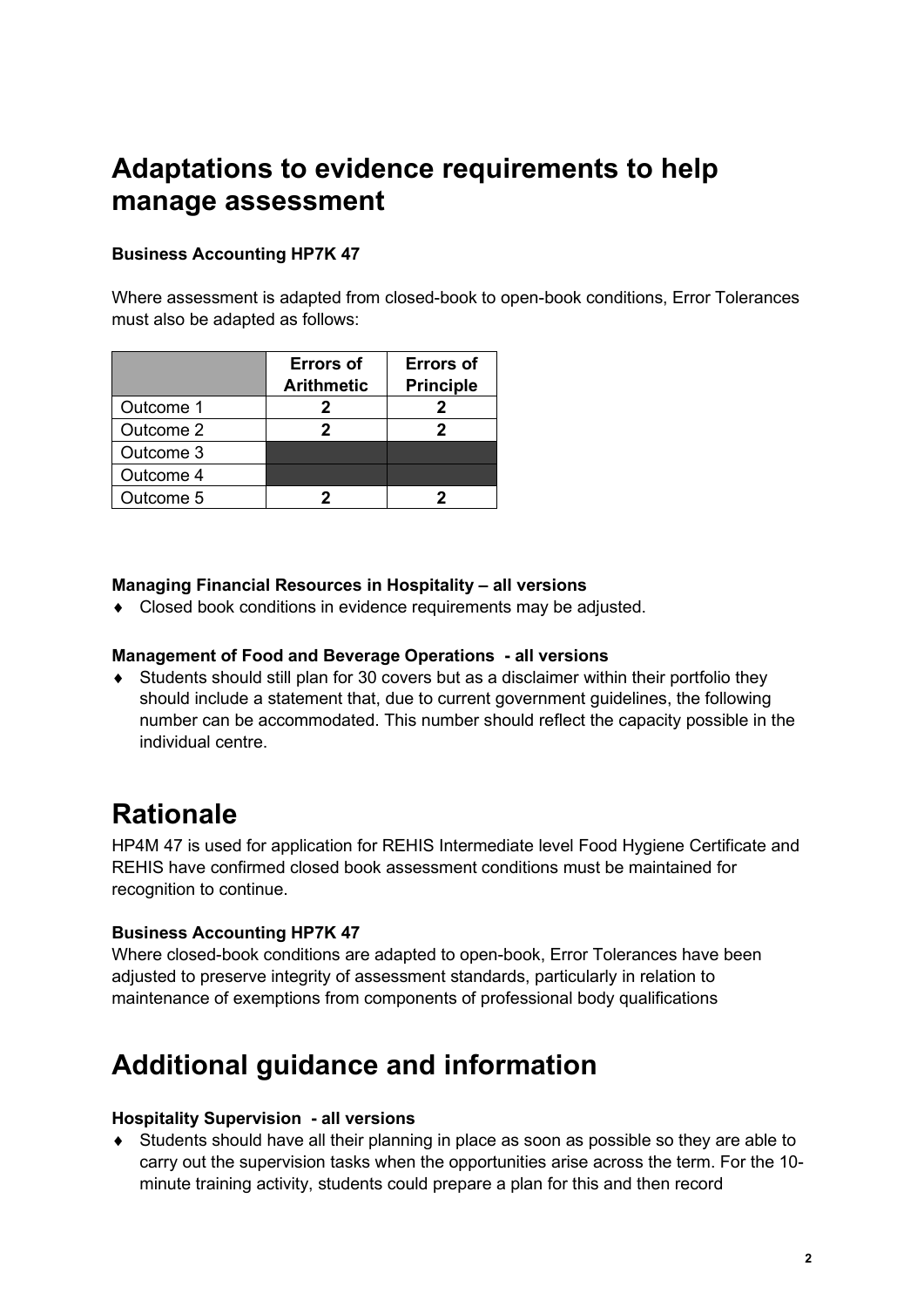# **Adaptations to evidence requirements to help manage assessment**

## **Business Accounting HP7K 47**

Where assessment is adapted from closed-book to open-book conditions, Error Tolerances must also be adapted as follows:

|           | <b>Errors of</b><br><b>Arithmetic</b> | <b>Errors of</b><br><b>Principle</b> |
|-----------|---------------------------------------|--------------------------------------|
| Outcome 1 | 2                                     |                                      |
| Outcome 2 |                                       |                                      |
| Outcome 3 |                                       |                                      |
| Outcome 4 |                                       |                                      |
| Outcome 5 |                                       |                                      |

### **Managing Financial Resources in Hospitality – all versions**

♦ Closed book conditions in evidence requirements may be adjusted.

#### **Management of Food and Beverage Operations - all versions**

♦ Students should still plan for 30 covers but as a disclaimer within their portfolio they should include a statement that, due to current government guidelines, the following number can be accommodated. This number should reflect the capacity possible in the individual centre.

# **Rationale**

HP4M 47 is used for application for REHIS Intermediate level Food Hygiene Certificate and REHIS have confirmed closed book assessment conditions must be maintained for recognition to continue.

#### **Business Accounting HP7K 47**

Where closed-book conditions are adapted to open-book, Error Tolerances have been adjusted to preserve integrity of assessment standards, particularly in relation to maintenance of exemptions from components of professional body qualifications

# **Additional guidance and information**

#### **Hospitality Supervision - all versions**

♦ Students should have all their planning in place as soon as possible so they are able to carry out the supervision tasks when the opportunities arise across the term. For the 10 minute training activity, students could prepare a plan for this and then record